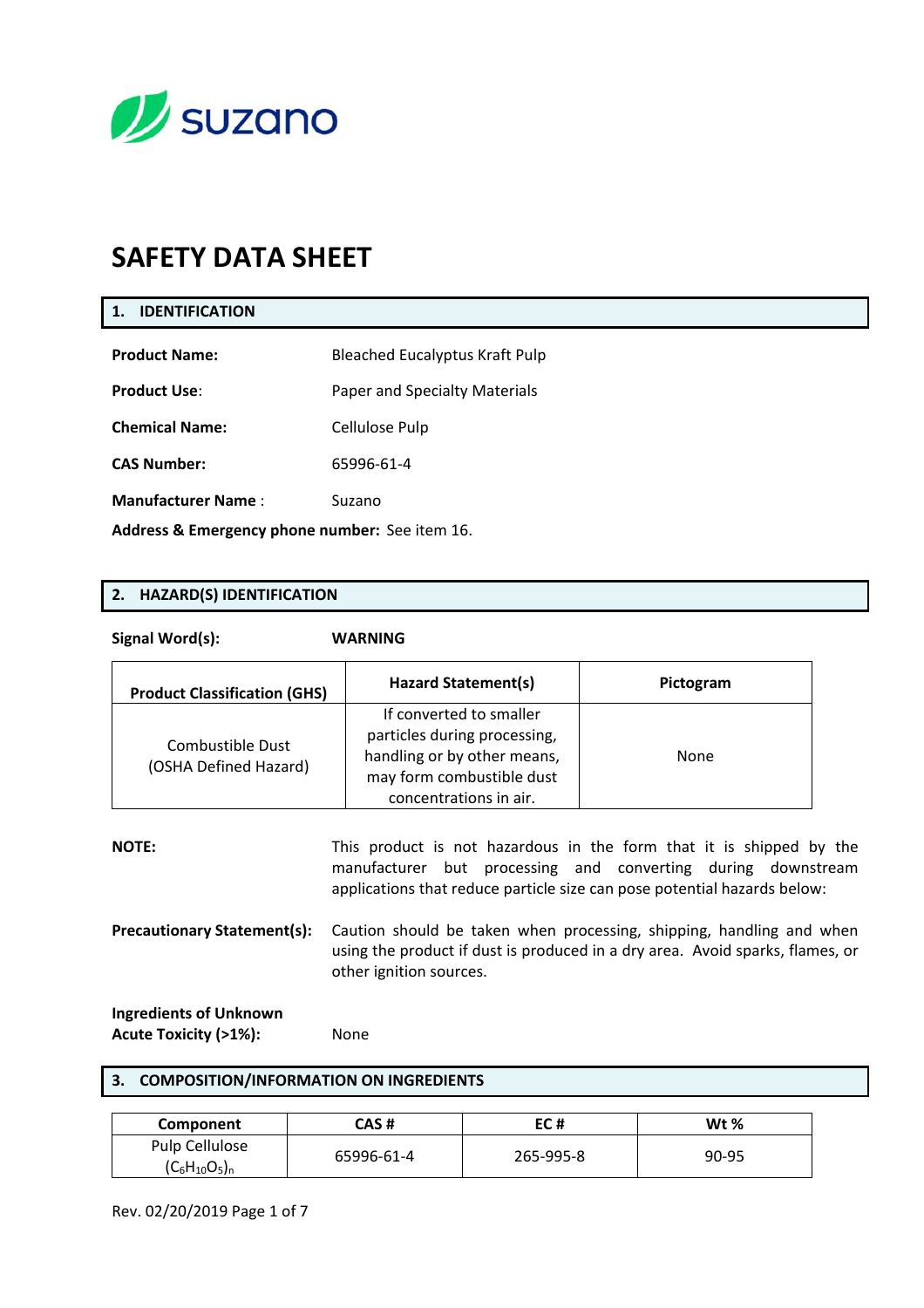

# **SAFETY DATA SHEET**

### **1. IDENTIFICATION**

| <b>Product Name:</b>                           | <b>Bleached Eucalyptus Kraft Pulp</b> |  |
|------------------------------------------------|---------------------------------------|--|
| <b>Product Use:</b>                            | Paper and Specialty Materials         |  |
| <b>Chemical Name:</b>                          | Cellulose Pulp                        |  |
| <b>CAS Number:</b>                             | 65996-61-4                            |  |
| <b>Manufacturer Name:</b>                      | Suzano                                |  |
| Address & Emergency phone number: See item 16. |                                       |  |

### **2. HAZARD(S) IDENTIFICATION**

**Signal Word(s): WARNING** 

| <b>Product Classification (GHS)</b>       | <b>Hazard Statement(s)</b>                                                                                                                    | Pictogram |
|-------------------------------------------|-----------------------------------------------------------------------------------------------------------------------------------------------|-----------|
| Combustible Dust<br>(OSHA Defined Hazard) | If converted to smaller<br>particles during processing,<br>handling or by other means,<br>may form combustible dust<br>concentrations in air. | None      |

| <b>NOTE:</b>                       | This product is not hazardous in the form that it is shipped by the<br>manufacturer but processing and converting during downstream<br>applications that reduce particle size can pose potential hazards below: |
|------------------------------------|-----------------------------------------------------------------------------------------------------------------------------------------------------------------------------------------------------------------|
| <b>Precautionary Statement(s):</b> | Caution should be taken when processing, shipping, handling and when<br>using the product if dust is produced in a dry area. Avoid sparks, flames, or<br>other ignition sources.                                |
| <b>Ingredients of Unknown</b>      |                                                                                                                                                                                                                 |

Acute Toxicity (>1%): None

### **3. COMPOSITION/INFORMATION ON INGREDIENTS**

| Component          | CAS #      | EC #      | Wt %  |
|--------------------|------------|-----------|-------|
| Pulp Cellulose     | 65996-61-4 | 265-995-8 | 90-95 |
| $(C_6H_{10}O_5)_n$ |            |           |       |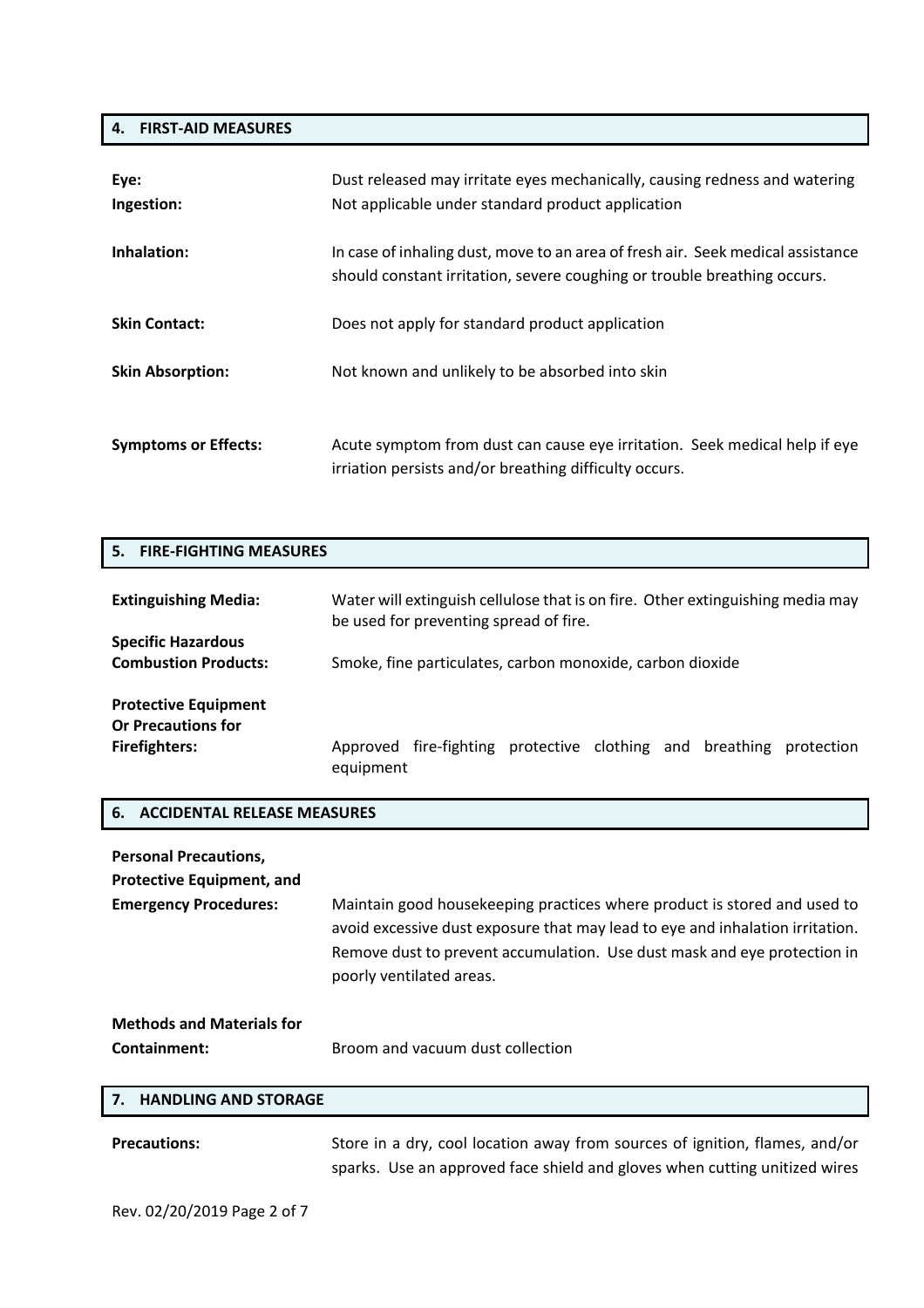### **4. FIRST‐AID MEASURES**

| Eye:<br>Ingestion:          | Dust released may irritate eyes mechanically, causing redness and watering<br>Not applicable under standard product application                             |
|-----------------------------|-------------------------------------------------------------------------------------------------------------------------------------------------------------|
| Inhalation:                 | In case of inhaling dust, move to an area of fresh air. Seek medical assistance<br>should constant irritation, severe coughing or trouble breathing occurs. |
| <b>Skin Contact:</b>        | Does not apply for standard product application                                                                                                             |
| <b>Skin Absorption:</b>     | Not known and unlikely to be absorbed into skin                                                                                                             |
| <b>Symptoms or Effects:</b> | Acute symptom from dust can cause eye irritation. Seek medical help if eye<br>irriation persists and/or breathing difficulty occurs.                        |

### **5. FIRE‐FIGHTING MEASURES**

| <b>Extinguishing Media:</b>                                                      | Water will extinguish cellulose that is on fire. Other extinguishing media may<br>be used for preventing spread of fire. |  |
|----------------------------------------------------------------------------------|--------------------------------------------------------------------------------------------------------------------------|--|
| <b>Specific Hazardous</b><br><b>Combustion Products:</b>                         | Smoke, fine particulates, carbon monoxide, carbon dioxide                                                                |  |
| <b>Protective Equipment</b><br><b>Or Precautions for</b><br><b>Firefighters:</b> | Approved fire-fighting protective clothing and breathing<br>protection<br>equipment                                      |  |

### **6. ACCIDENTAL RELEASE MEASURES**

| <b>Personal Precautions,</b>     |                                                                                                                                                                                                                                                                   |
|----------------------------------|-------------------------------------------------------------------------------------------------------------------------------------------------------------------------------------------------------------------------------------------------------------------|
| <b>Protective Equipment, and</b> |                                                                                                                                                                                                                                                                   |
| <b>Emergency Procedures:</b>     | Maintain good housekeeping practices where product is stored and used to<br>avoid excessive dust exposure that may lead to eye and inhalation irritation.<br>Remove dust to prevent accumulation. Use dust mask and eye protection in<br>poorly ventilated areas. |
| <b>Methods and Materials for</b> |                                                                                                                                                                                                                                                                   |
| Containment:                     | Broom and vacuum dust collection                                                                                                                                                                                                                                  |
| 7. HANDLING AND STORAGE          |                                                                                                                                                                                                                                                                   |
|                                  |                                                                                                                                                                                                                                                                   |

Precautions: Store in a dry, cool location away from sources of ignition, flames, and/or sparks. Use an approved face shield and gloves when cutting unitized wires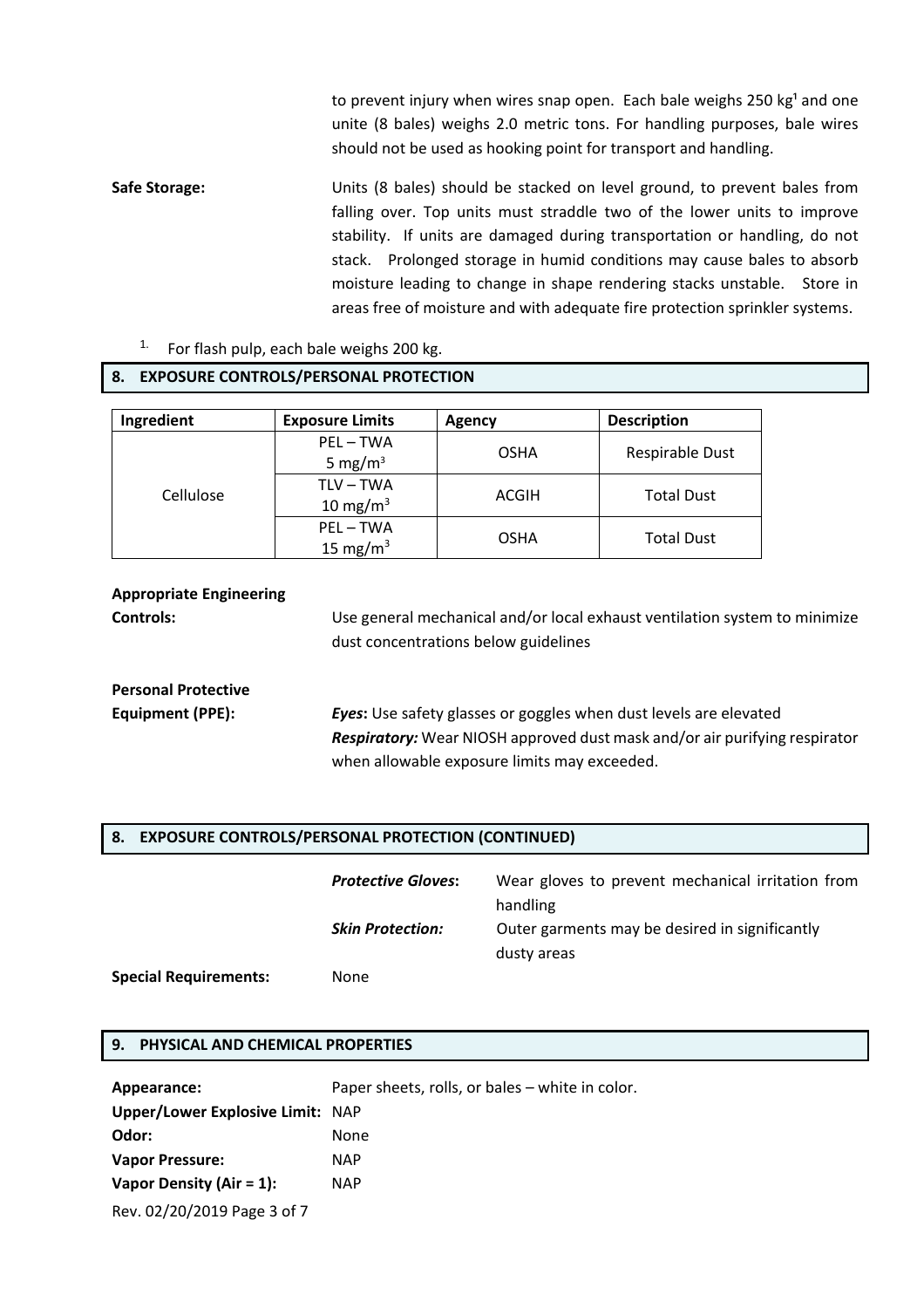to prevent injury when wires snap open. Each bale weighs 250  $kg<sup>1</sup>$  and one unite (8 bales) weighs 2.0 metric tons. For handling purposes, bale wires should not be used as hooking point for transport and handling.

Safe Storage: Units (8 bales) should be stacked on level ground, to prevent bales from falling over. Top units must straddle two of the lower units to improve stability. If units are damaged during transportation or handling, do not stack. Prolonged storage in humid conditions may cause bales to absorb moisture leading to change in shape rendering stacks unstable. Store in areas free of moisture and with adequate fire protection sprinkler systems.

 $15 \text{ mg/m}^3$  OSHA Total Dust

For flash pulp, each bale weighs 200 kg.

### **8. EXPOSURE CONTROLS/PERSONAL PROTECTION Ingredient** | Exposure Limits | Agency | Description Cellulose PEL – TWA  $5 \text{ mg/m}^3$  OSHA Respirable Dust TLV – TWA  $10 \text{ mg/m}^3$  ACGIH Total Dust PEL – TWA

### **Appropriate Engineering**

**Controls:** Use general mechanical and/or local exhaust ventilation system to minimize dust concentrations below guidelines

# **Personal Protective**

**Special Requirements:** 

**Equipment (PPE):** *Eyes***:** Use safety glasses or goggles when dust levels are elevated *Respiratory:* Wear NIOSH approved dust mask and/or air purifying respirator when allowable exposure limits may exceeded.

### **8. EXPOSURE CONTROLS/PERSONAL PROTECTION (CONTINUED)**

| <b>Protective Gloves:</b> | Wear gloves to prevent mechanical irritation from |
|---------------------------|---------------------------------------------------|
|                           | handling                                          |
| <b>Skin Protection:</b>   | Outer garments may be desired in significantly    |
|                           | dusty areas                                       |
| None                      |                                                   |

### **9. PHYSICAL AND CHEMICAL PROPERTIES**

| Appearance:                            | Paper sheets, rolls, or bales – white in color. |
|----------------------------------------|-------------------------------------------------|
| Upper/Lower Explosive Limit: NAP       |                                                 |
| Odor:                                  | None                                            |
| <b>Vapor Pressure:</b>                 | <b>NAP</b>                                      |
| Vapor Density (Air = $1$ ):            | <b>NAP</b>                                      |
| $D_{01}$ , 02/20/2010 $D_{202}$ 2 of 7 |                                                 |

Rev. 02/20/2019 Page 3 of 7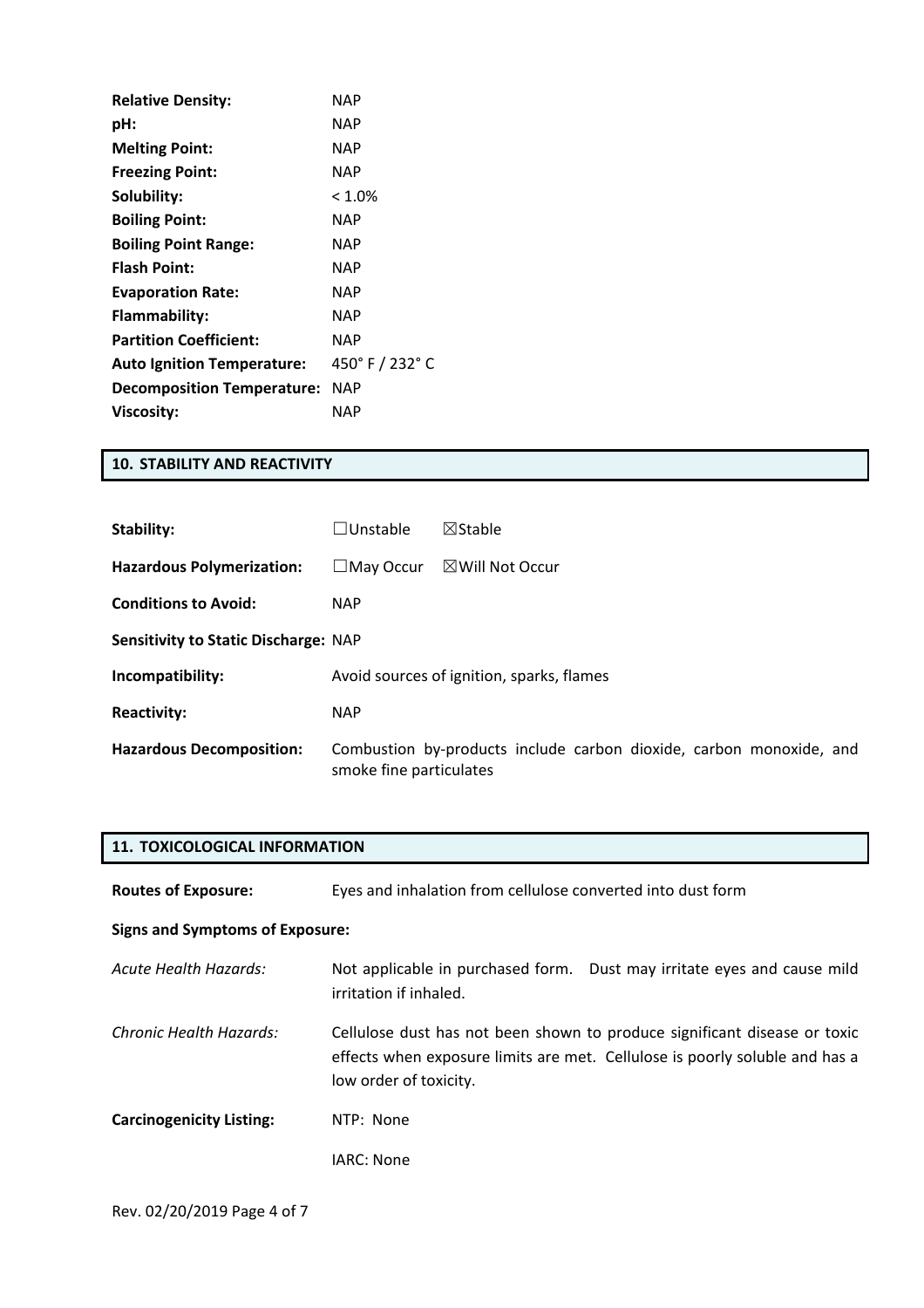| <b>Relative Density:</b>          | <b>NAP</b>  |
|-----------------------------------|-------------|
| pH:                               | NAP         |
| <b>Melting Point:</b>             | NAP         |
| <b>Freezing Point:</b>            | <b>NAP</b>  |
| Solubility:                       | $< 1.0\%$   |
| <b>Boiling Point:</b>             | <b>NAP</b>  |
| <b>Boiling Point Range:</b>       | <b>NAP</b>  |
| <b>Flash Point:</b>               | NAP         |
| <b>Evaporation Rate:</b>          | NAP         |
| Flammability:                     | <b>NAP</b>  |
| <b>Partition Coefficient:</b>     | NAP         |
| <b>Auto Ignition Temperature:</b> | 450°F/232°C |
| <b>Decomposition Temperature:</b> | NAP         |
| Viscosity:                        | NAP         |

### **10. STABILITY AND REACTIVITY**

| Stability:                                  | $\square$ Unstable                        | $\boxtimes$ Stable                                                  |
|---------------------------------------------|-------------------------------------------|---------------------------------------------------------------------|
| <b>Hazardous Polymerization:</b>            | $\square$ May Occur                       | $\boxtimes$ Will Not Occur                                          |
| <b>Conditions to Avoid:</b>                 | <b>NAP</b>                                |                                                                     |
| <b>Sensitivity to Static Discharge: NAP</b> |                                           |                                                                     |
| Incompatibility:                            | Avoid sources of ignition, sparks, flames |                                                                     |
| <b>Reactivity:</b>                          | <b>NAP</b>                                |                                                                     |
| <b>Hazardous Decomposition:</b>             | smoke fine particulates                   | Combustion by-products include carbon dioxide, carbon monoxide, and |

| <b>11. TOXICOLOGICAL INFORMATION</b>   |                                                                                                                                                                                    |  |
|----------------------------------------|------------------------------------------------------------------------------------------------------------------------------------------------------------------------------------|--|
| <b>Routes of Exposure:</b>             | Eyes and inhalation from cellulose converted into dust form                                                                                                                        |  |
| <b>Signs and Symptoms of Exposure:</b> |                                                                                                                                                                                    |  |
| Acute Health Hazards:                  | Not applicable in purchased form. Dust may irritate eyes and cause mild<br>irritation if inhaled.                                                                                  |  |
| Chronic Health Hazards:                | Cellulose dust has not been shown to produce significant disease or toxic<br>effects when exposure limits are met. Cellulose is poorly soluble and has a<br>low order of toxicity. |  |
| <b>Carcinogenicity Listing:</b>        | NTP: None                                                                                                                                                                          |  |
|                                        | IARC: None                                                                                                                                                                         |  |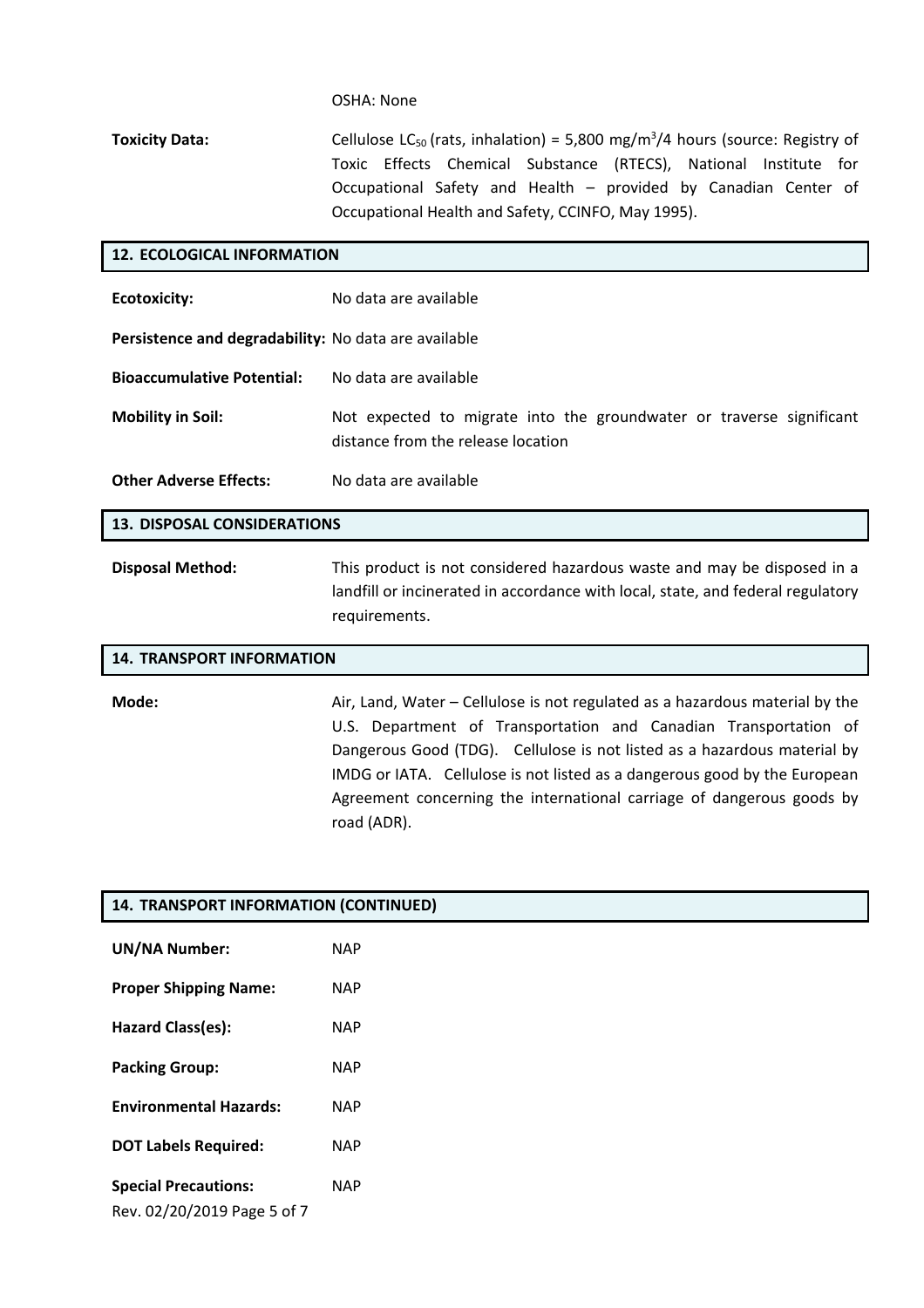### OSHA: None

**Toxicity Data:** Cellulose LC<sub>50</sub> (rats, inhalation) = 5,800 mg/m<sup>3</sup>/4 hours (source: Registry of Toxic Effects Chemical Substance (RTECS), National Institute for Occupational Safety and Health – provided by Canadian Center of Occupational Health and Safety, CCINFO, May 1995).

| <b>12. ECOLOGICAL INFORMATION</b>                    |                                                                                                                                                                             |  |
|------------------------------------------------------|-----------------------------------------------------------------------------------------------------------------------------------------------------------------------------|--|
| <b>Ecotoxicity:</b>                                  | No data are available                                                                                                                                                       |  |
| Persistence and degradability: No data are available |                                                                                                                                                                             |  |
| <b>Bioaccumulative Potential:</b>                    | No data are available                                                                                                                                                       |  |
| <b>Mobility in Soil:</b>                             | Not expected to migrate into the groundwater or traverse significant<br>distance from the release location                                                                  |  |
| <b>Other Adverse Effects:</b>                        | No data are available                                                                                                                                                       |  |
| <b>13. DISPOSAL CONSIDERATIONS</b>                   |                                                                                                                                                                             |  |
| <b>Disposal Method:</b>                              | This product is not considered hazardous waste and may be disposed in a<br>landfill or incinerated in accordance with local, state, and federal regulatory<br>requirements. |  |

| <b>14. TRANSPORT INFORMATION</b> |                                                                                                                                                                                                                                                                                                                                                                                                   |
|----------------------------------|---------------------------------------------------------------------------------------------------------------------------------------------------------------------------------------------------------------------------------------------------------------------------------------------------------------------------------------------------------------------------------------------------|
| Mode:                            | Air, Land, Water – Cellulose is not regulated as a hazardous material by the<br>U.S. Department of Transportation and Canadian Transportation of<br>Dangerous Good (TDG). Cellulose is not listed as a hazardous material by<br>IMDG or IATA. Cellulose is not listed as a dangerous good by the European<br>Agreement concerning the international carriage of dangerous goods by<br>road (ADR). |

| 14. TRANSPORT INFORMATION (CONTINUED)                      |            |  |
|------------------------------------------------------------|------------|--|
| <b>UN/NA Number:</b>                                       | <b>NAP</b> |  |
| <b>Proper Shipping Name:</b>                               | <b>NAP</b> |  |
| Hazard Class(es):                                          | <b>NAP</b> |  |
| <b>Packing Group:</b>                                      | <b>NAP</b> |  |
| <b>Environmental Hazards:</b>                              | <b>NAP</b> |  |
| <b>DOT Labels Required:</b>                                | <b>NAP</b> |  |
| <b>Special Precautions:</b><br>Rev. 02/20/2019 Page 5 of 7 | <b>NAP</b> |  |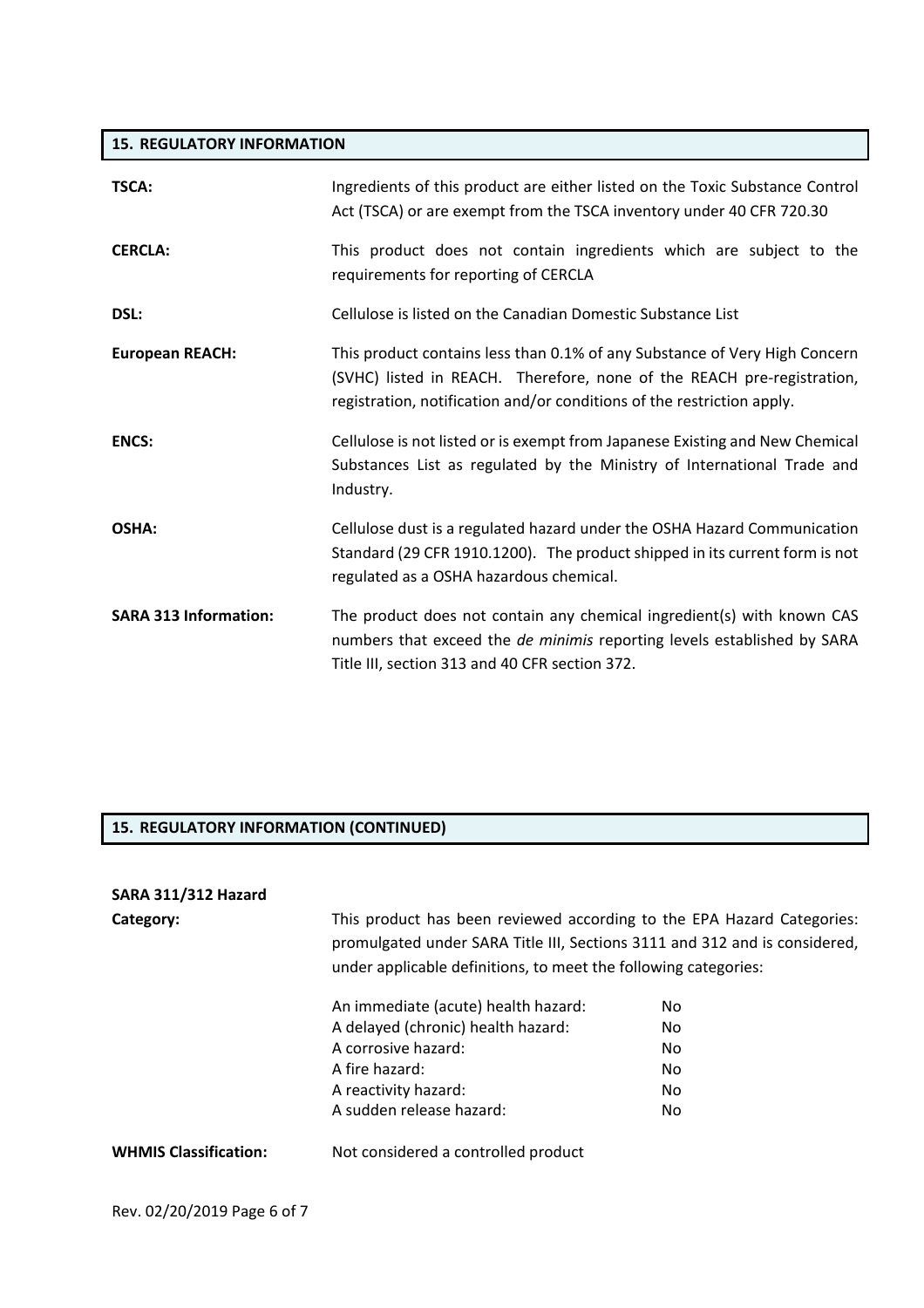### **15. REGULATORY INFORMATION**

| TSCA:                        | Ingredients of this product are either listed on the Toxic Substance Control<br>Act (TSCA) or are exempt from the TSCA inventory under 40 CFR 720.30                                                                           |
|------------------------------|--------------------------------------------------------------------------------------------------------------------------------------------------------------------------------------------------------------------------------|
| <b>CERCLA:</b>               | This product does not contain ingredients which are subject to the<br>requirements for reporting of CERCLA                                                                                                                     |
| DSL:                         | Cellulose is listed on the Canadian Domestic Substance List                                                                                                                                                                    |
| <b>European REACH:</b>       | This product contains less than 0.1% of any Substance of Very High Concern<br>(SVHC) listed in REACH. Therefore, none of the REACH pre-registration,<br>registration, notification and/or conditions of the restriction apply. |
| <b>ENCS:</b>                 | Cellulose is not listed or is exempt from Japanese Existing and New Chemical<br>Substances List as regulated by the Ministry of International Trade and<br>Industry.                                                           |
| OSHA:                        | Cellulose dust is a regulated hazard under the OSHA Hazard Communication<br>Standard (29 CFR 1910.1200). The product shipped in its current form is not<br>regulated as a OSHA hazardous chemical.                             |
| <b>SARA 313 Information:</b> | The product does not contain any chemical ingredient(s) with known CAS<br>numbers that exceed the de minimis reporting levels established by SARA<br>Title III, section 313 and 40 CFR section 372.                            |

### **15. REGULATORY INFORMATION (CONTINUED)**

# **SARA 311/312 Hazard**

| SARA 311/312 Hazard          |                                                                                                                                                                                                                         |     |  |
|------------------------------|-------------------------------------------------------------------------------------------------------------------------------------------------------------------------------------------------------------------------|-----|--|
| Category:                    | This product has been reviewed according to the EPA Hazard Categories:<br>promulgated under SARA Title III, Sections 3111 and 312 and is considered,<br>under applicable definitions, to meet the following categories: |     |  |
|                              | An immediate (acute) health hazard:                                                                                                                                                                                     | No. |  |
|                              | A delayed (chronic) health hazard:                                                                                                                                                                                      | No. |  |
|                              | A corrosive hazard:                                                                                                                                                                                                     | No. |  |
|                              | A fire hazard:                                                                                                                                                                                                          | No. |  |
|                              | A reactivity hazard:                                                                                                                                                                                                    | No. |  |
|                              | A sudden release hazard:                                                                                                                                                                                                | No. |  |
| <b>WHMIS Classification:</b> | Not considered a controlled product                                                                                                                                                                                     |     |  |
|                              |                                                                                                                                                                                                                         |     |  |